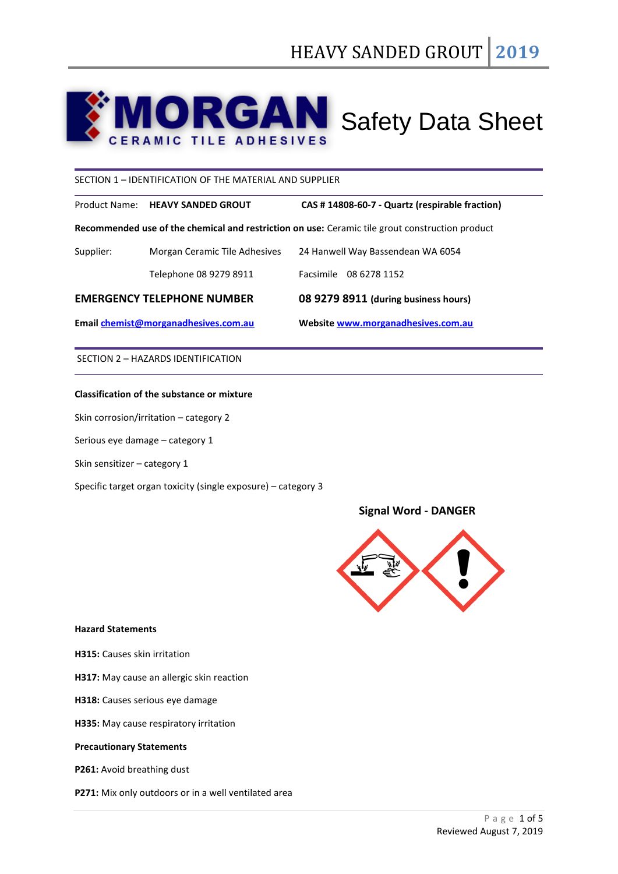# **MORGAN** Safety Data Sheet CAN

SECTION 1 – IDENTIFICATION OF THE MATERIAL AND SUPPLIER

Product Name: **HEAVY SANDED GROUT CAS # 14808-60-7 - Quartz (respirable fraction)**

**Recommended use of the chemical and restriction on use:** Ceramic tile grout construction product

| Email chemist@morganadhesives.com.au |                               | Website www.morganadhesives.com.au   |  |
|--------------------------------------|-------------------------------|--------------------------------------|--|
| <b>EMERGENCY TELEPHONE NUMBER</b>    |                               | 08 9279 8911 (during business hours) |  |
|                                      | Telephone 08 9279 8911        | Facsimile 08 6278 1152               |  |
| Supplier:                            | Morgan Ceramic Tile Adhesives | 24 Hanwell Way Bassendean WA 6054    |  |

SECTION 2 – HAZARDS IDENTIFICATION

## **Classification of the substance or mixture**

Skin corrosion/irritation – category 2

Serious eye damage – category 1

Skin sensitizer – category 1

Specific target organ toxicity (single exposure) – category 3

# **Signal Word - DANGER**



## **Hazard Statements**

**H315:** Causes skin irritation

**H317:** May cause an allergic skin reaction

- **H318:** Causes serious eye damage
- **H335:** May cause respiratory irritation

## **Precautionary Statements**

**P261:** Avoid breathing dust

**P271:** Mix only outdoors or in a well ventilated area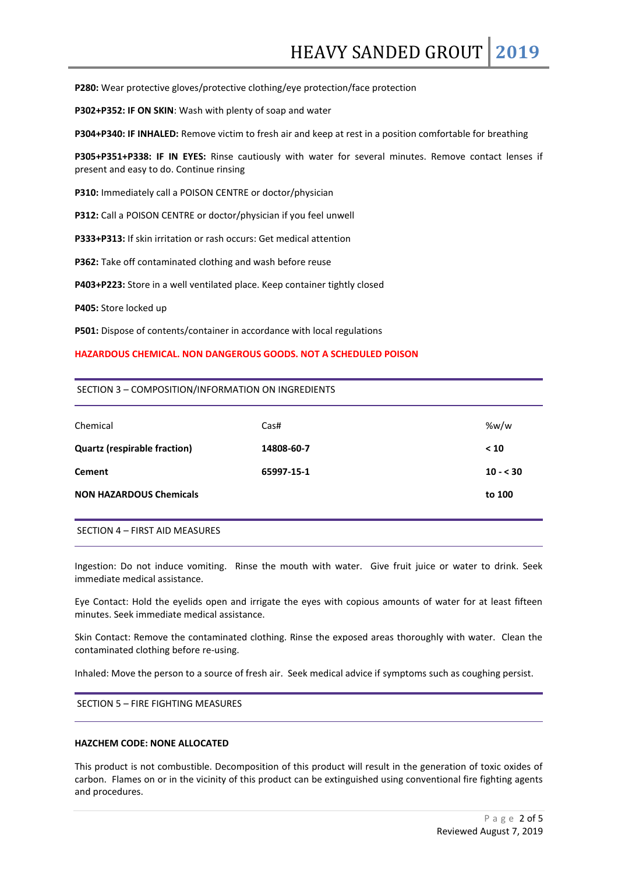**P280:** Wear protective gloves/protective clothing/eye protection/face protection

**P302+P352: IF ON SKIN**: Wash with plenty of soap and water

**P304+P340: IF INHALED:** Remove victim to fresh air and keep at rest in a position comfortable for breathing

**P305+P351+P338: IF IN EYES:** Rinse cautiously with water for several minutes. Remove contact lenses if present and easy to do. Continue rinsing

**P310:** Immediately call a POISON CENTRE or doctor/physician

**P312:** Call a POISON CENTRE or doctor/physician if you feel unwell

**P333+P313:** If skin irritation or rash occurs: Get medical attention

**P362:** Take off contaminated clothing and wash before reuse

**P403+P223:** Store in a well ventilated place. Keep container tightly closed

**P405:** Store locked up

**P501:** Dispose of contents/container in accordance with local regulations

#### **HAZARDOUS CHEMICAL. NON DANGEROUS GOODS. NOT A SCHEDULED POISON**

#### SECTION 3 – COMPOSITION/INFORMATION ON INGREDIENTS

| Chemical                            | Cas#       | %w/w      |
|-------------------------------------|------------|-----------|
| <b>Quartz (respirable fraction)</b> | 14808-60-7 | < 10      |
| <b>Cement</b>                       | 65997-15-1 | $10 - 30$ |
| <b>NON HAZARDOUS Chemicals</b>      |            | to 100    |
|                                     |            |           |

SECTION 4 – FIRST AID MEASURES

Ingestion: Do not induce vomiting. Rinse the mouth with water. Give fruit juice or water to drink. Seek immediate medical assistance.

Eye Contact: Hold the eyelids open and irrigate the eyes with copious amounts of water for at least fifteen minutes. Seek immediate medical assistance.

Skin Contact: Remove the contaminated clothing. Rinse the exposed areas thoroughly with water. Clean the contaminated clothing before re-using.

Inhaled: Move the person to a source of fresh air. Seek medical advice if symptoms such as coughing persist.

SECTION 5 – FIRE FIGHTING MEASURES

## **HAZCHEM CODE: NONE ALLOCATED**

This product is not combustible. Decomposition of this product will result in the generation of toxic oxides of carbon. Flames on or in the vicinity of this product can be extinguished using conventional fire fighting agents and procedures.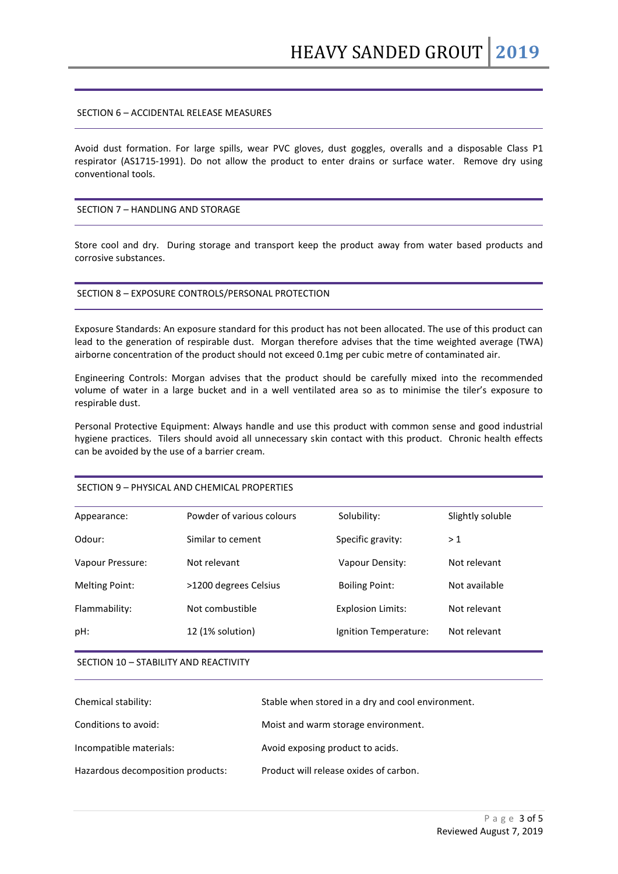## SECTION 6 – ACCIDENTAL RELEASE MEASURES

Avoid dust formation. For large spills, wear PVC gloves, dust goggles, overalls and a disposable Class P1 respirator (AS1715-1991). Do not allow the product to enter drains or surface water. Remove dry using conventional tools.

## SECTION 7 – HANDLING AND STORAGE

Store cool and dry. During storage and transport keep the product away from water based products and corrosive substances.

#### SECTION 8 – EXPOSURE CONTROLS/PERSONAL PROTECTION

Exposure Standards: An exposure standard for this product has not been allocated. The use of this product can lead to the generation of respirable dust. Morgan therefore advises that the time weighted average (TWA) airborne concentration of the product should not exceed 0.1mg per cubic metre of contaminated air.

Engineering Controls: Morgan advises that the product should be carefully mixed into the recommended volume of water in a large bucket and in a well ventilated area so as to minimise the tiler's exposure to respirable dust.

Personal Protective Equipment: Always handle and use this product with common sense and good industrial hygiene practices. Tilers should avoid all unnecessary skin contact with this product. Chronic health effects can be avoided by the use of a barrier cream.

#### SECTION 9 – PHYSICAL AND CHEMICAL PROPERTIES

| Appearance:           | Powder of various colours | Solubility:              | Slightly soluble |
|-----------------------|---------------------------|--------------------------|------------------|
| Odour:                | Similar to cement         | Specific gravity:        | >1               |
| Vapour Pressure:      | Not relevant              | Vapour Density:          | Not relevant     |
| <b>Melting Point:</b> | >1200 degrees Celsius     | <b>Boiling Point:</b>    | Not available    |
| Flammability:         | Not combustible           | <b>Explosion Limits:</b> | Not relevant     |
| pH:                   | 12 (1% solution)          | Ignition Temperature:    | Not relevant     |
|                       |                           |                          |                  |

#### SECTION 10 – STABILITY AND REACTIVITY

| Chemical stability:               | Stable when stored in a dry and cool environment. |
|-----------------------------------|---------------------------------------------------|
| Conditions to avoid:              | Moist and warm storage environment.               |
| Incompatible materials:           | Avoid exposing product to acids.                  |
| Hazardous decomposition products: | Product will release oxides of carbon.            |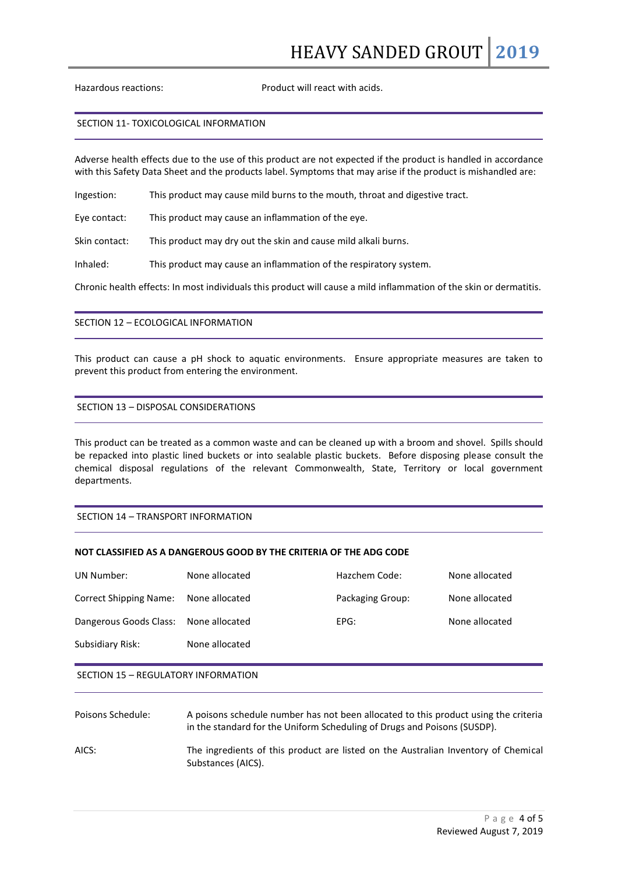Hazardous reactions: Product will react with acids.

#### SECTION 11- TOXICOLOGICAL INFORMATION

Adverse health effects due to the use of this product are not expected if the product is handled in accordance with this Safety Data Sheet and the products label. Symptoms that may arise if the product is mishandled are:

Ingestion: This product may cause mild burns to the mouth, throat and digestive tract.

Eye contact: This product may cause an inflammation of the eye.

Skin contact: This product may dry out the skin and cause mild alkali burns.

Inhaled: This product may cause an inflammation of the respiratory system.

Chronic health effects: In most individuals this product will cause a mild inflammation of the skin or dermatitis.

## SECTION 12 – ECOLOGICAL INFORMATION

This product can cause a pH shock to aquatic environments. Ensure appropriate measures are taken to prevent this product from entering the environment.

# SECTION 13 – DISPOSAL CONSIDERATIONS

This product can be treated as a common waste and can be cleaned up with a broom and shovel. Spills should be repacked into plastic lined buckets or into sealable plastic buckets. Before disposing please consult the chemical disposal regulations of the relevant Commonwealth, State, Territory or local government departments.

## SECTION 14 – TRANSPORT INFORMATION

# **NOT CLASSIFIED AS A DANGEROUS GOOD BY THE CRITERIA OF THE ADG CODE**

| UN Number:                            | None allocated | Hazchem Code:    | None allocated |
|---------------------------------------|----------------|------------------|----------------|
| Correct Shipping Name:                | None allocated | Packaging Group: | None allocated |
| Dangerous Goods Class: None allocated |                | EPG:             | None allocated |
| Subsidiary Risk:                      | None allocated |                  |                |
|                                       |                |                  |                |

#### SECTION 15 – REGULATORY INFORMATION

| Poisons Schedule: | A poisons schedule number has not been allocated to this product using the criteria<br>in the standard for the Uniform Scheduling of Drugs and Poisons (SUSDP). |
|-------------------|-----------------------------------------------------------------------------------------------------------------------------------------------------------------|
| AICS:             | The ingredients of this product are listed on the Australian Inventory of Chemical<br>Substances (AICS).                                                        |